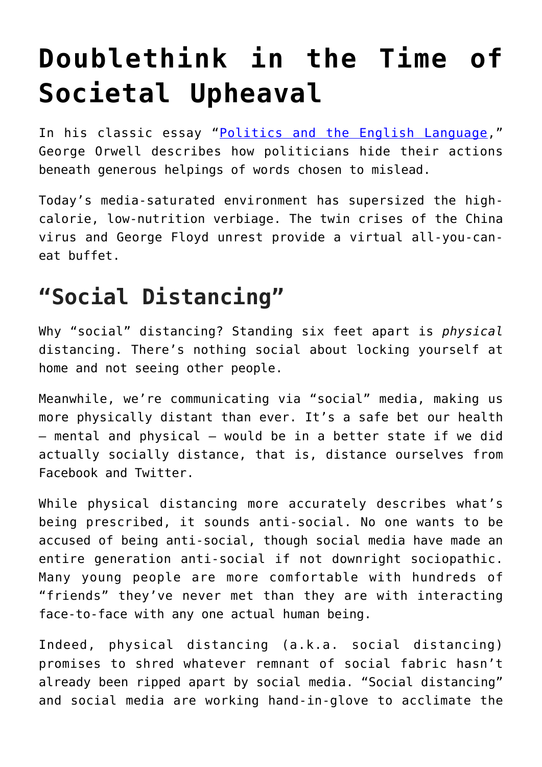## **[Doublethink in the Time of](https://intellectualtakeout.org/2020/07/doublethink-in-the-time-of-societal-upheaval/) [Societal Upheaval](https://intellectualtakeout.org/2020/07/doublethink-in-the-time-of-societal-upheaval/)**

In his classic essay "[Politics and the English Language,](https://www.orwell.ru/library/essays/politics/english/e_polit)" George Orwell describes how politicians hide their actions beneath generous helpings of words chosen to mislead.

Today's media-saturated environment has supersized the highcalorie, low-nutrition verbiage. The twin crises of the China virus and George Floyd unrest provide a virtual all-you-caneat buffet.

## **"Social Distancing"**

Why "social" distancing? Standing six feet apart is *physical* distancing. There's nothing social about locking yourself at home and not seeing other people.

Meanwhile, we're communicating via "social" media, making us more physically distant than ever. It's a safe bet our health – mental and physical – would be in a better state if we did actually socially distance, that is, distance ourselves from Facebook and Twitter.

While physical distancing more accurately describes what's being prescribed, it sounds anti-social. No one wants to be accused of being anti-social, though social media have made an entire generation anti-social if not downright sociopathic. Many young people are more comfortable with hundreds of "friends" they've never met than they are with interacting face-to-face with any one actual human being.

Indeed, physical distancing (a.k.a. social distancing) promises to shred whatever remnant of social fabric hasn't already been ripped apart by social media. "Social distancing" and social media are working hand-in-glove to acclimate the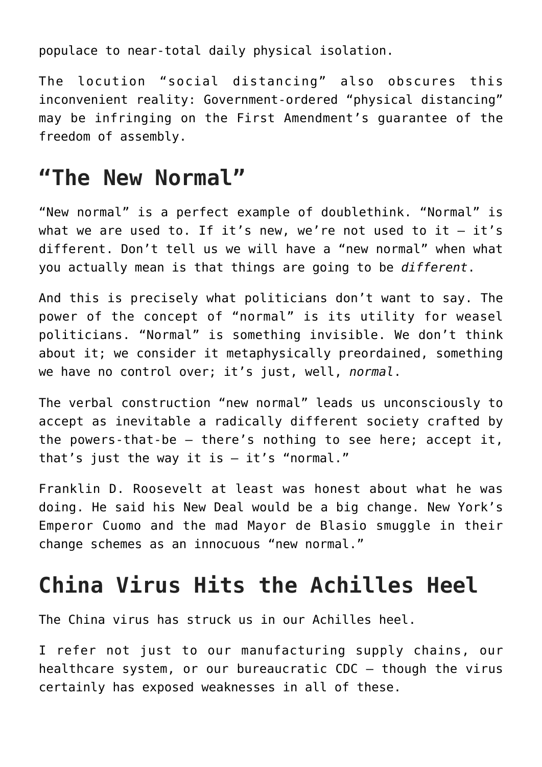populace to near-total daily physical isolation.

The locution "social distancing" also obscures this inconvenient reality: Government-ordered "physical distancing" may be infringing on the First Amendment's guarantee of the freedom of assembly.

## **"The New Normal"**

"New normal" is a perfect example of doublethink. "Normal" is what we are used to. If it's new, we're not used to it  $-$  it's different. Don't tell us we will have a "new normal" when what you actually mean is that things are going to be *different*.

And this is precisely what politicians don't want to say. The power of the concept of "normal" is its utility for weasel politicians. "Normal" is something invisible. We don't think about it; we consider it metaphysically preordained, something we have no control over; it's just, well, *normal*.

The verbal construction "new normal" leads us unconsciously to accept as inevitable a radically different society crafted by the powers-that-be – there's nothing to see here; accept it, that's just the way it is  $-$  it's "normal."

Franklin D. Roosevelt at least was honest about what he was doing. He said his New Deal would be a big change. New York's Emperor Cuomo and the mad Mayor de Blasio smuggle in their change schemes as an innocuous "new normal."

## **China Virus Hits the Achilles Heel**

The China virus has struck us in our Achilles heel.

I refer not just to our manufacturing supply chains, our healthcare system, or our bureaucratic CDC – though the virus certainly has exposed weaknesses in all of these.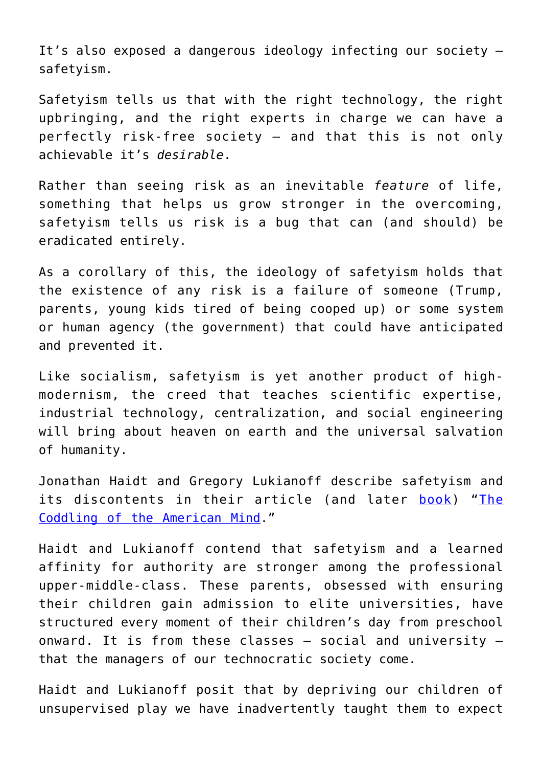It's also exposed a dangerous ideology infecting our society – safetyism.

Safetyism tells us that with the right technology, the right upbringing, and the right experts in charge we can have a perfectly risk-free society – and that this is not only achievable it's *desirable*.

Rather than seeing risk as an inevitable *feature* of life, something that helps us grow stronger in the overcoming, safetyism tells us risk is a bug that can (and should) be eradicated entirely.

As a corollary of this, the ideology of safetyism holds that the existence of any risk is a failure of someone (Trump, parents, young kids tired of being cooped up) or some system or human agency (the government) that could have anticipated and prevented it.

Like socialism, safetyism is yet another product of highmodernism, the creed that teaches scientific expertise, industrial technology, centralization, and social engineering will bring about heaven on earth and the universal salvation of humanity.

Jonathan Haidt and Gregory Lukianoff describe safetyism and its discontents in their article (and later [book\)](https://www.amazon.com/gp/product/0735224919/ref=as_li_tl?ie=UTF8&camp=1789&creative=9325&creativeASIN=0735224919&linkCode=as2&tag=intelltakeo0d-20&linkId=d5fda66c7768998d676edf04ab33dc49) "[The](https://www.theatlantic.com/magazine/archive/2015/09/the-coddling-of-the-american-mind/399356/) [Coddling of the American Mind](https://www.theatlantic.com/magazine/archive/2015/09/the-coddling-of-the-american-mind/399356/)."

Haidt and Lukianoff contend that safetyism and a learned affinity for authority are stronger among the professional upper-middle-class. These parents, obsessed with ensuring their children gain admission to elite universities, have structured every moment of their children's day from preschool onward. It is from these classes – social and university – that the managers of our technocratic society come.

Haidt and Lukianoff posit that by depriving our children of unsupervised play we have inadvertently taught them to expect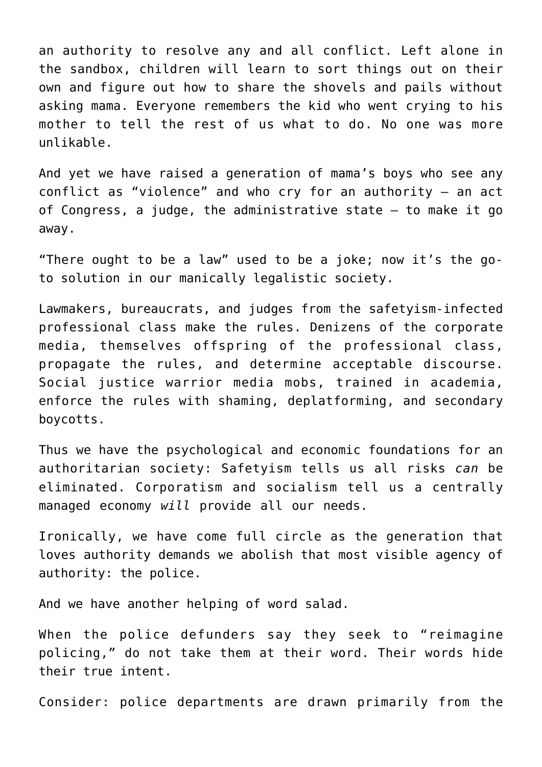an authority to resolve any and all conflict. Left alone in the sandbox, children will learn to sort things out on their own and figure out how to share the shovels and pails without asking mama. Everyone remembers the kid who went crying to his mother to tell the rest of us what to do. No one was more unlikable.

And yet we have raised a generation of mama's boys who see any conflict as "violence" and who cry for an authority – an act of Congress, a judge, the administrative state – to make it go away.

"There ought to be a law" used to be a joke; now it's the goto solution in our manically legalistic society.

Lawmakers, bureaucrats, and judges from the safetyism-infected professional class make the rules. Denizens of the corporate media, themselves offspring of the professional class, propagate the rules, and determine acceptable discourse. Social justice warrior media mobs, trained in academia, enforce the rules with shaming, deplatforming, and secondary boycotts.

Thus we have the psychological and economic foundations for an authoritarian society: Safetyism tells us all risks *can* be eliminated. Corporatism and socialism tell us a centrally managed economy *will* provide all our needs.

Ironically, we have come full circle as the generation that loves authority demands we abolish that most visible agency of authority: the police.

And we have another helping of word salad.

When the police defunders say they seek to "reimagine policing," do not take them at their word. Their words hide their true intent.

Consider: police departments are drawn primarily from the